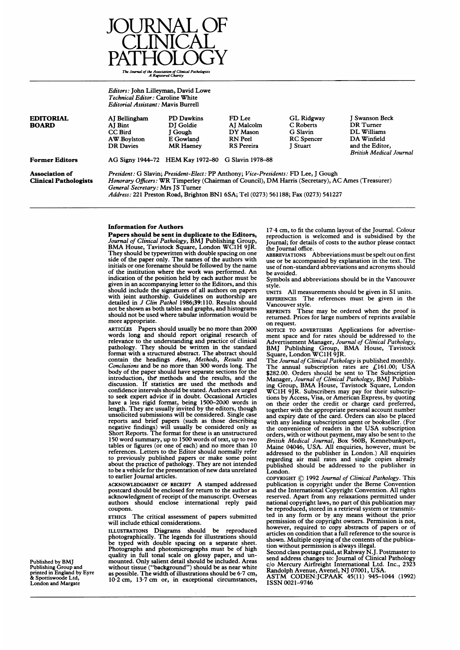

Editors: John Lilleyman, David Lowe Technical Editor: Caroline White Editorial Assistant: Mavis Burrell

| <b>EDITORIAL</b>                                      | AI Bellingham                                                                                                                                                                                                                                                                                                    | <b>PD Dawkins</b>                                 | FD Lee                 | <b>GL Ridgway</b>     | <b>Swanson Beck</b>            |
|-------------------------------------------------------|------------------------------------------------------------------------------------------------------------------------------------------------------------------------------------------------------------------------------------------------------------------------------------------------------------------|---------------------------------------------------|------------------------|-----------------------|--------------------------------|
| <b>BOARD</b>                                          | AI Bint<br>CC Bird                                                                                                                                                                                                                                                                                               | DI Goldie<br>I Gough                              | AI Malcolm<br>DY Mason | C Roberts<br>G Slavin | DR Turner<br>DL Williams       |
|                                                       |                                                                                                                                                                                                                                                                                                                  |                                                   |                        |                       |                                |
|                                                       | AW Boylston                                                                                                                                                                                                                                                                                                      | E Gowland                                         | RN Peel                | <b>RC</b> Spencer     | DA Winfield                    |
|                                                       | <b>DR</b> Davies                                                                                                                                                                                                                                                                                                 | <b>MR Haeney</b>                                  | <b>RS</b> Pereira      | <b>I</b> Stuart       | and the Editor,                |
|                                                       |                                                                                                                                                                                                                                                                                                                  |                                                   |                        |                       | <b>British Medical Journal</b> |
| <b>Former Editors</b>                                 |                                                                                                                                                                                                                                                                                                                  | AG Signy 1944–72 HEM Kay 1972–80 G Slavin 1978–88 |                        |                       |                                |
| <b>Association of</b><br><b>Clinical Pathologists</b> | President: G Slavin; President-Elect: PP Anthony; Vice-Presidents: FD Lee, J Gough<br>Honorary Officers: WR Timperley (Chairman of Council), DM Harris (Secretary), AC Ames (Treasurer)<br>General Secretary: Mrs JS Turner<br>Address: 221 Preston Road, Brighton BN1 6SA; Tel (0273) 561188; Fax (0273) 541227 |                                                   |                        |                       |                                |

#### Information for Authors

Papers should be sent in duplicate to the Editors, Journal of Clinical Pathology, BMJ Publishing Group, BMA House, Tavistock Square, London WC1H 9JR. They should be typewritten with double spacing on one side of the paper only. The names of the authors with initials or one forename should be followed by the name of the institution where the work was performed. An indication of the position held by each author must be given in an accompanying letter to the Editors, and this should include the signatures of all authors on papers with joint authorship. Guidelines on authorship are detailed in J Clin Pathol 1986;39:110. Results should not be shown as both tables and graphs, and histograms should not be used where tabular information would be more appropriate.

ARTICLES Papers should usually be no more than 2000 words long and should report original research of relevance to the understanding and practice of clinical pathology. They should be written in the standard format with a structured abstract. The abstract should contain the headings Aims, Methods, Results and Conclusions and be no more than 300 words long. The body of the paper should have separate sections for the introduction, the' methods and the results, and the discussion. If statistics are used the methods and confidence intervals should be stated. Authors are urged to seek expert advice if in doubt. Occasional Articles have a less rigid format, being 1500-2000 words in length. They are usually invited by the editors, though unsolicited submissions will be considered. Single case reports and brief papers (such as those describing negative findings) will usually be considered only as Short Reports. The format for these is an unstructured 150 word summary, up to 1500 words of text, up to two tables or figures (or one of each) and no more than 10 references. Letters to the Editor should normally refer to previously published papers or make some point about the practice of pathology. They are not intended to be a vehicle for the presentation of new data unrelated to earlier Journal articles.

ACKNOWLEDGMENT OF RECEIPT A stamped addressed postcard should be enclosed for return to the author as acknowledgment of receipt of the manuscript. Overseas<br>authors should enclose international reply paid should enclose international reply paid coupons.

ETHICS The critical assessment of papers submitted will include ethical considerations.

ILLUSTRATIONS Diagrams should be reproduced photographically. The legends for illustrations should be typed with double spacing on a separate sheet. Photographs and photomicrographs must be of high quality in full tonal scale on glossy paper, and unmounted. Only salient detail should be included. Areas without tissue ("background") should be as near white as possible. The width of illustrations should be 6-7 cm, 10-2 cm, 13 7 cm or, in exceptional circumstances,

17 4 cm, to fit the column layout of the Journal. Colour reproduction is welcomed and is subsidised by the Journal; for details of costs to the author please contact the Journal office.

ABBREVIATIONS Abbreviations must be spelt out on first use or be accompanied by explanation in the text. The use of non-standard abbreviations and acronyms should be avoided.

Symbols and abbreviations should be in the Vancouver style.<br>UNITS

All measurements should be given in SI units. REFERENCES The references must be given in the

Vancouver style.<br>REPRINTS These These may be ordered when the proof is returned. Prices for large numbers of reprints available on request.

NOTICE TO ADVERTISERS Applications for advertisement space and for rates should be addressed to the Advertisement Manager, Journal of Clinical Pathology, BMJ Publishing Group, BMA House, Tavistock Square, London WC1H 9JR.

The Journal of Clinical Pathology is published monthly. The annual subscription rates are  $£161.00;$  USA \$282.00. Orders should be sent to The Subscription Manager, Journal of Clinical Pathology, BMJ Publishing Group, BMA House, Tavistock Square, London WC1H 9JR. Subscribers may pay for their subscriptions by Access, Visa, or American Express, by quoting on their order the credit or charge card preferred, together with the appropriate personal account number and expiry date of the card. Orders can also be placed with any leading subscription agent or bookseller. (For the convenience of readers in the USA subscription orders, with or without payment, may also be sent to the *British Medical Journal*, Box 560B, Kennebunkport, Maine 04046, USA. All enquiries, however, must be addressed to the publisher in London.) All enquiries regarding air mail rates and single copies already published should be addressed to the publisher in London.

COPYRIGHT © <sup>1992</sup> Journal of Clinical Pathology. This publication is copyright under the Beme Convention and the International Copyright Convention. All rights reserved. Apart from any relaxations permitted under national copyright laws, no part of this publication may be reproduced, stored in a retrieval system or transmitted in any form or by any means without the prior permission of the copyright owners. Permission is not, however, required to copy abstracts of papers or of articles on condition that a full reference to the source is shown. Multiple copying of the contents of the publication without permission is always illegal.

Second class postage paid, at Rahway N.J. Postmaster to<br>send address changes to: Journal of Clinical Pathology<br>c/o Mercury Airfreight International Ltd. Inc., 2323<br>Randolph Avenue, Avenel, NJ 07001, USA.<br>ASTM CODEN:JCPAAK

ISSN 0021-9746

Published by BMJ Publishing Group and printed in England by Eyre & Spottiswoode Ltd, London and Margate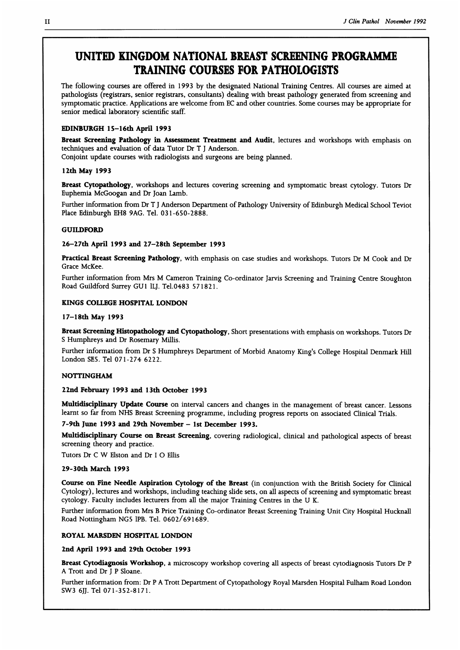### UNITED KINGDOM NATIONAL BREAST SCREENING PROGRAMME TRAINING COURSES FOR PATHOLOGISTS

The following courses are offered in 1993 by the designated National Training Centres. All courses are aimed at pathologists (registrars, senior registrars, consultants) dealing with breast pathology generated from screening and symptomatic practice. Applications are welcome from EC and other countries. Some courses may be appropriate for senior medical laboratory scientific staff.

#### ]EDINBURGH 15-16th April 1993

Breast Screening Pathology in Assessment Treatment and Audit, lectures and workshops with emphasis on techniques and evaluation of data Tutor Dr T <sup>J</sup> Anderson.

Conjoint update courses with radiologists and surgeons are being planned.

#### 12th May 1993

Breast Cytopathology, workshops and lectures covering screening and symptomatic breast cytology. Tutors Dr Euphemia McGoogan and Dr Joan Lamb.

Further information from Dr T <sup>J</sup> Anderson Department of Pathology University of Edinburgh Medical School Teviot Place Edinburgh EH8 9AG. Tel. 031-650-2888.

#### GUILDFORD

#### 26-27th April 1993 and 27-28th September 1993

Practical Breast Screening Pathology, with emphasis on case studies and workshops. Tutors Dr M Cook and Dr Grace McKee.

Further information from Mrs M Cameron Training Co-ordinator Jarvis Screening and Training Centre Stoughton Road Guildford Surrey GUI ILJ. Tel.0483 571821.

#### KINGS COLLEGE HOSPITAL LONDON

#### 17-18th May 1993

Breast Screening Histopathology and Cytopathology, Short presentations with emphasis on workshops. Tutors Dr S Humphreys and Dr Rosemary Millis.

Further information from Dr <sup>S</sup> Humphreys Department of Morbid Anatomy King's College Hospital Denmark Hill London SE5. Tel 071-274 6222.

#### NOTTINGHAM

#### 22nd February 1993 and 13th October 1993

Multidisciplinary Update Course on interval cancers and changes in the management of breast cancer. Lessons learnt so far from NHS Breast Screening programme, including progress reports on associated Clinical Trials.

#### 7-9th June 1993 and 29th November - 1st December 1993.

Multidisciplinary Course on Breast Screening, covering radiological, clinical and pathological aspects of breast screening theory and practice.

Tutors Dr C W Elston and Dr I O Ellis

#### 29-30th March 1993

Course on Fine Needle Aspiration Cytology of the Breast (in conjunction with the British Society for Clinical Cytology), lectures and workshops, including teaching slide sets, on all aspects of screening and symptomatic breast cytology. Faculty includes lecturers from all the major Training Centres in the U K.

Further information from Mrs B Price Training Co-ordinator Breast Screening Training Unit City Hospital Hucknall Road Nottingham NG5 IPB. Tel. 0602/691689.

#### ROYAL MARSDEN HOSPITAL LONDON

2nd April 1993 and 29th October 1993

Breast Cytodiagnosis Workshop, a microscopy workshop covering all aspects of breast cytodiagnosis Tutors Dr P A Trott and Dr <sup>J</sup> P Sloane.

Further information from: Dr P A Trott Department of Cytopathology Royal Marsden Hospital Fulham Road London SW3 6JJ. Tel 071-352-8171.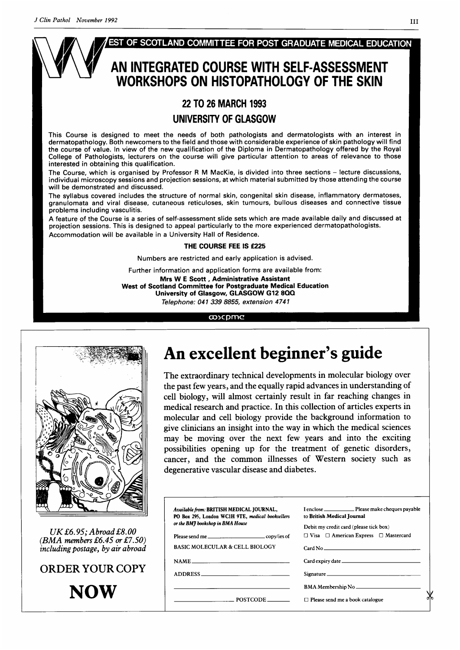

#### THE COURSE FEE IS £225

Numbers are restricted and early application is advised.

Further information and application forms are available from: Mrs W <sup>E</sup> Scott, Administrative Assistant West of Scotland Committee for Postgraduate Medical Education University of Glasgow, GLASGOW G12 8QQ Telephone: 041 339 8855, extension 4741

#### coocpmc



 $UKE6.95; Abroad E8.00$  $(BMA$  members £6.45 or £7.50) including postage, by air abroad

# ORDER YOUR COPY

# An excellent beginner's guide

The extraordinary technical developments in molecular biology over the past few years, and the equally rapid advances in understanding of cell biology, will almost certainly result in far reaching changes in medical research and practice. In this collection of articles experts in molecular and cell biology provide the background information to give clinicians an insight into the way in which the medical sciences may be moving over the next few years and into the exciting possibilities opening up for the treatment of genetic disorders, cancer, and the common illnesses of Western society such as degenerative vascular disease and diabetes.

|                                                                                    | Available from: BRITISH MEDICAL JOURNAL,<br>PO Box 295, London WC1H 9TE, medical booksellers | to British Medical Journal                                                                      |
|------------------------------------------------------------------------------------|----------------------------------------------------------------------------------------------|-------------------------------------------------------------------------------------------------|
| $0.95$ ; $A broad\,\pounds8.00$<br>mbers £6.45 or £7.50)<br>postage, by air abroad | or the BM7 bookshop in BMA House<br><b>BASIC MOLECULAR &amp; CELL BIOLOGY</b>                | Debit my credit card (please tick box)<br>$\Box$ Visa $\Box$ American Express $\Box$ Mastercard |
| R YOUR COPY                                                                        | NAME<br>ADDRESS                                                                              | Signature                                                                                       |
| <b>NOW</b>                                                                         | POSTCODE ________                                                                            | $\Box$ Please send me a book catalogue                                                          |